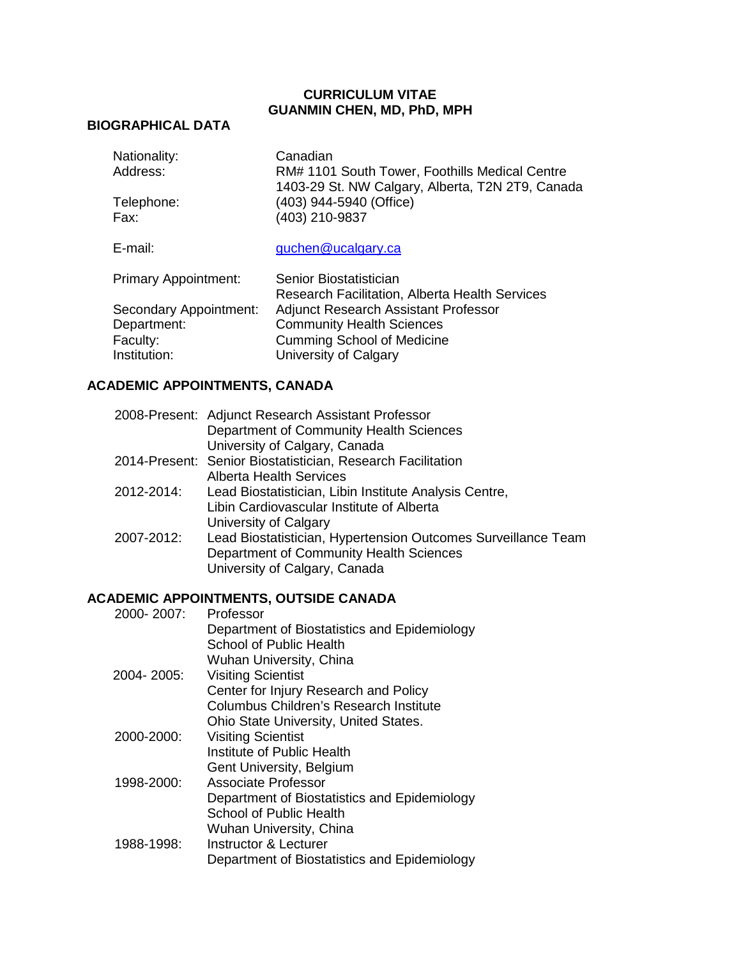#### **CURRICULUM VITAE GUANMIN CHEN, MD, PhD, MPH**

## **BIOGRAPHICAL DATA**

| Nationality:<br>Address:    | Canadian<br>RM# 1101 South Tower, Foothills Medical Centre<br>1403-29 St. NW Calgary, Alberta, T2N 2T9, Canada |
|-----------------------------|----------------------------------------------------------------------------------------------------------------|
| Telephone:<br>Fax:          | (403) 944-5940 (Office)<br>(403) 210-9837                                                                      |
| E-mail:                     | guchen@ucalgary.ca                                                                                             |
| <b>Primary Appointment:</b> | Senior Biostatistician<br><b>Research Facilitation, Alberta Health Services</b>                                |
| Secondary Appointment:      | <b>Adjunct Research Assistant Professor</b>                                                                    |
| Department:                 | <b>Community Health Sciences</b>                                                                               |
| Faculty:                    | <b>Cumming School of Medicine</b>                                                                              |
| Institution:                | University of Calgary                                                                                          |

## **ACADEMIC APPOINTMENTS, CANADA**

|            | 2008-Present: Adjunct Research Assistant Professor            |
|------------|---------------------------------------------------------------|
|            | Department of Community Health Sciences                       |
|            | University of Calgary, Canada                                 |
|            | 2014-Present: Senior Biostatistician, Research Facilitation   |
|            | <b>Alberta Health Services</b>                                |
| 2012-2014: | Lead Biostatistician, Libin Institute Analysis Centre,        |
|            | Libin Cardiovascular Institute of Alberta                     |
|            | University of Calgary                                         |
| 2007-2012: | Lead Biostatistician, Hypertension Outcomes Surveillance Team |
|            | Department of Community Health Sciences                       |
|            | University of Calgary, Canada                                 |
|            |                                                               |

#### **ACADEMIC APPOINTMENTS, OUTSIDE CANADA**

| 2000-2007: | Professor                                     |
|------------|-----------------------------------------------|
|            | Department of Biostatistics and Epidemiology  |
|            | School of Public Health                       |
|            | Wuhan University, China                       |
| 2004-2005: | <b>Visiting Scientist</b>                     |
|            | Center for Injury Research and Policy         |
|            | <b>Columbus Children's Research Institute</b> |
|            | Ohio State University, United States.         |
| 2000-2000: | <b>Visiting Scientist</b>                     |
|            | Institute of Public Health                    |
|            | Gent University, Belgium                      |
| 1998-2000: | Associate Professor                           |
|            | Department of Biostatistics and Epidemiology  |
|            | <b>School of Public Health</b>                |
|            | Wuhan University, China                       |
| 1988-1998: | Instructor & Lecturer                         |
|            | Department of Biostatistics and Epidemiology  |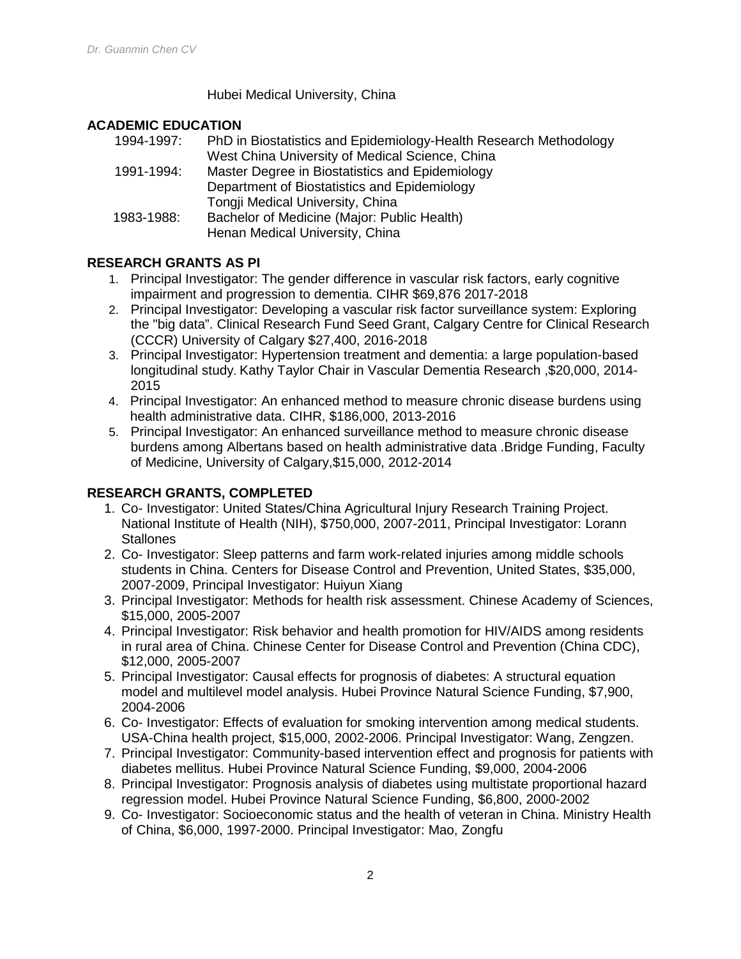#### Hubei Medical University, China

## **ACADEMIC EDUCATION**

| 1994-1997: | PhD in Biostatistics and Epidemiology-Health Research Methodology |
|------------|-------------------------------------------------------------------|
|            | West China University of Medical Science, China                   |
| 1991-1994: | Master Degree in Biostatistics and Epidemiology                   |
|            | Department of Biostatistics and Epidemiology                      |
|            | Tongji Medical University, China                                  |
| 1983-1988: | Bachelor of Medicine (Major: Public Health)                       |
|            | Henan Medical University, China                                   |

## **RESEARCH GRANTS AS PI**

- 1. Principal Investigator: The gender difference in vascular risk factors, early cognitive impairment and progression to dementia. CIHR \$69,876 2017-2018
- 2. Principal Investigator: Developing a vascular risk factor surveillance system: Exploring the "big data". Clinical Research Fund Seed Grant, Calgary Centre for Clinical Research (CCCR) University of Calgary \$27,400, 2016-2018
- 3. Principal Investigator: Hypertension treatment and dementia: a large population-based longitudinal study. Kathy Taylor Chair in Vascular Dementia Research ,\$20,000, 2014- 2015
- 4. Principal Investigator: An enhanced method to measure chronic disease burdens using health administrative data. CIHR, \$186,000, 2013-2016
- 5. Principal Investigator: An enhanced surveillance method to measure chronic disease burdens among Albertans based on health administrative data .Bridge Funding, Faculty of Medicine, University of Calgary,\$15,000, 2012-2014

# **RESEARCH GRANTS, COMPLETED**

- 1. Co- Investigator: United States/China Agricultural Injury Research Training Project. National Institute of Health (NIH), \$750,000, 2007-2011, Principal Investigator: Lorann **Stallones**
- 2. Co- Investigator: Sleep patterns and farm work-related injuries among middle schools students in China. Centers for Disease Control and Prevention, United States, \$35,000, 2007-2009, Principal Investigator: Huiyun Xiang
- 3. Principal Investigator: Methods for health risk assessment. Chinese Academy of Sciences, \$15,000, 2005-2007
- 4. Principal Investigator: Risk behavior and health promotion for HIV/AIDS among residents in rural area of China. Chinese Center for Disease Control and Prevention (China CDC), \$12,000, 2005-2007
- 5. Principal Investigator: Causal effects for prognosis of diabetes: A structural equation model and multilevel model analysis. Hubei Province Natural Science Funding, \$7,900, 2004-2006
- 6. Co- Investigator: Effects of evaluation for smoking intervention among medical students. USA-China health project, \$15,000, 2002-2006. Principal Investigator: Wang, Zengzen.
- 7. Principal Investigator: Community-based intervention effect and prognosis for patients with diabetes mellitus. Hubei Province Natural Science Funding, \$9,000, 2004-2006
- 8. Principal Investigator: Prognosis analysis of diabetes using multistate proportional hazard regression model. Hubei Province Natural Science Funding, \$6,800, 2000-2002
- 9. Co- Investigator: Socioeconomic status and the health of veteran in China. Ministry Health of China, \$6,000, 1997-2000. Principal Investigator: Mao, Zongfu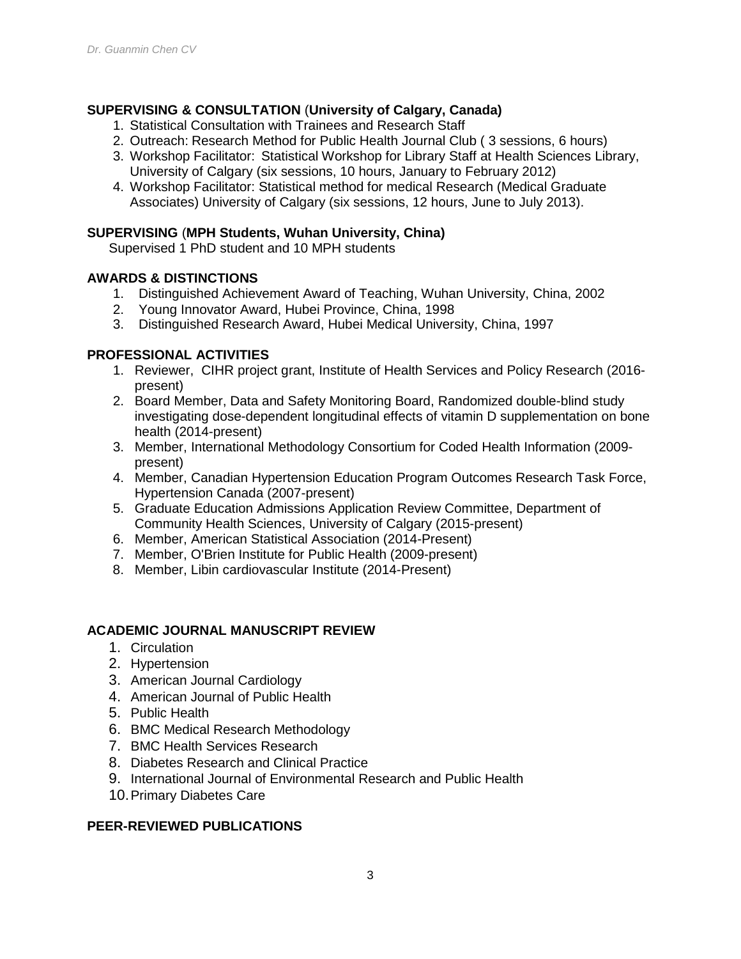## **SUPERVISING & CONSULTATION** (**University of Calgary, Canada)**

- 1. Statistical Consultation with Trainees and Research Staff
- 2. Outreach: Research Method for Public Health Journal Club ( 3 sessions, 6 hours)
- 3. Workshop Facilitator: Statistical Workshop for Library Staff at Health Sciences Library, University of Calgary (six sessions, 10 hours, January to February 2012)
- 4. Workshop Facilitator: Statistical method for medical Research (Medical Graduate Associates) University of Calgary (six sessions, 12 hours, June to July 2013).

#### **SUPERVISING** (**MPH Students, Wuhan University, China)**

Supervised 1 PhD student and 10 MPH students

#### **AWARDS & DISTINCTIONS**

- 1. Distinguished Achievement Award of Teaching, Wuhan University, China, 2002
- 2. Young Innovator Award, Hubei Province, China, 1998
- 3. Distinguished Research Award, Hubei Medical University, China, 1997

# **PROFESSIONAL ACTIVITIES**

- 1. Reviewer, CIHR project grant, Institute of Health Services and Policy Research (2016 present)
- 2. Board Member, Data and Safety Monitoring Board, Randomized double-blind study investigating dose-dependent longitudinal effects of vitamin D supplementation on bone health (2014-present)
- 3. Member, International Methodology Consortium for Coded Health Information (2009 present)
- 4. Member, Canadian Hypertension Education Program Outcomes Research Task Force, Hypertension Canada (2007-present)
- 5. Graduate Education Admissions Application Review Committee, Department of Community Health Sciences, University of Calgary (2015-present)
- 6. Member, American Statistical Association (2014-Present)
- 7. Member, O'Brien Institute for Public Health (2009-present)
- 8. Member, Libin cardiovascular Institute (2014-Present)

#### **ACADEMIC JOURNAL MANUSCRIPT REVIEW**

- 1. Circulation
- 2. Hypertension
- 3. American Journal Cardiology
- 4. American Journal of Public Health
- 5. Public Health
- 6. BMC Medical Research Methodology
- 7. BMC Health Services Research
- 8. Diabetes Research and Clinical Practice
- 9. International Journal of Environmental Research and Public Health
- 10.Primary Diabetes Care

# **PEER-REVIEWED PUBLICATIONS**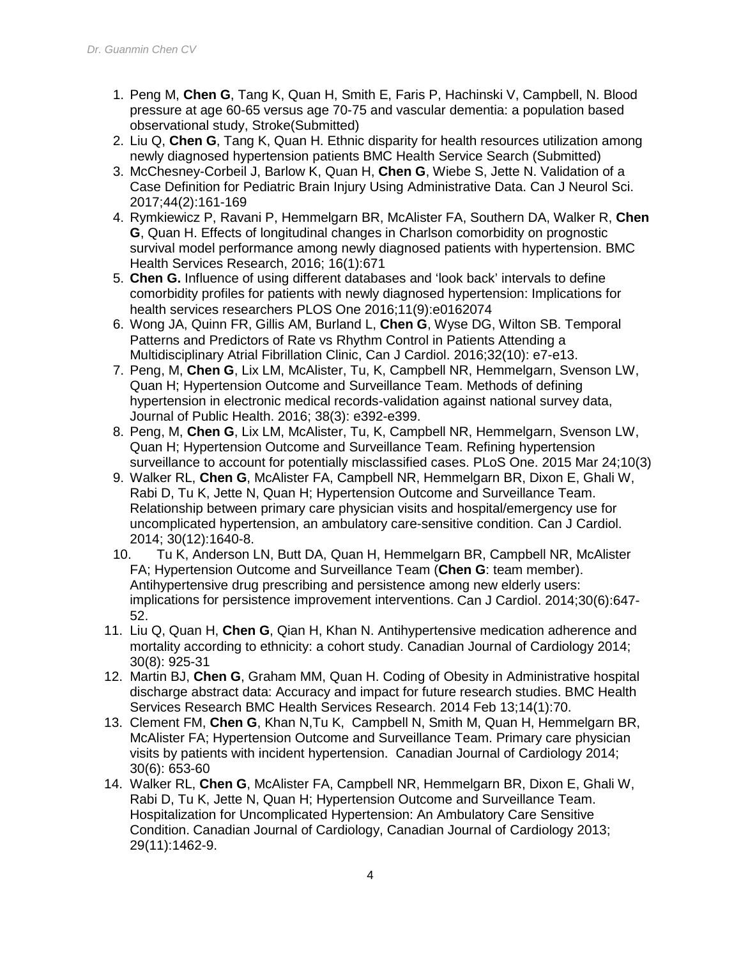- 1. Peng M, **Chen G**, Tang K, Quan H, Smith E, Faris P, Hachinski V, Campbell, N. Blood pressure at age 60-65 versus age 70-75 and vascular dementia: a population based observational study, Stroke(Submitted)
- 2. Liu Q, **Chen G**, Tang K, Quan H. Ethnic disparity for health resources utilization among newly diagnosed hypertension patients BMC Health Service Search (Submitted)
- 3. McChesney-Corbeil J, Barlow K, Quan H, **Chen G**, Wiebe S, Jette N. Validation of a Case Definition for Pediatric Brain Injury Using Administrative Data. Can J Neurol Sci. 2017;44(2):161-169
- 4. Rymkiewicz P, Ravani P, Hemmelgarn BR, McAlister FA, Southern DA, Walker R, **Chen G**, Quan H. Effects of longitudinal changes in Charlson comorbidity on prognostic survival model performance among newly diagnosed patients with hypertension. BMC Health Services Research, 2016; 16(1):671
- 5. **Chen G.** Influence of using different databases and 'look back' intervals to define comorbidity profiles for patients with newly diagnosed hypertension: Implications for health services researchers PLOS One 2016;11(9):e0162074
- 6. Wong JA, Quinn FR, Gillis AM, Burland L, **Chen G**, Wyse DG, Wilton SB. Temporal Patterns and Predictors of Rate vs Rhythm Control in Patients Attending a Multidisciplinary Atrial Fibrillation Clinic, Can J Cardiol. 2016;32(10): e7-e13.
- 7. Peng, M, **Chen G**, Lix LM, McAlister, Tu, K, Campbell NR, Hemmelgarn, Svenson LW, Quan H; Hypertension Outcome and Surveillance Team. Methods of defining hypertension in electronic medical records-validation against national survey data, Journal of Public Health. 2016; 38(3): e392-e399.
- 8. Peng, M, **Chen G**, Lix LM, McAlister, Tu, K, Campbell NR, Hemmelgarn, Svenson LW, Quan H; Hypertension Outcome and Surveillance Team. Refining hypertension surveillance to account for potentially misclassified cases. PLoS One. 2015 Mar 24;10(3)
- 9. Walker RL, **Chen G**, McAlister FA, Campbell NR, Hemmelgarn BR, Dixon E, Ghali W, Rabi D, Tu K, Jette N, Quan H; Hypertension Outcome and Surveillance Team. Relationship between primary care physician visits and hospital/emergency use for uncomplicated hypertension, an ambulatory care-sensitive condition. Can J Cardiol. 2014; 30(12):1640-8.
- 10. Tu K, Anderson LN, Butt DA, Quan H, Hemmelgarn BR, Campbell NR, McAlister FA; Hypertension Outcome and Surveillance Team (**Chen G**: team member). Antihypertensive drug prescribing and persistence among new elderly users: implications for persistence improvement interventions. Can J Cardiol. 2014;30(6):647- 52.
- 11. Liu Q, Quan H, **Chen G**, Qian H, Khan N. Antihypertensive medication adherence and mortality according to ethnicity: a cohort study. Canadian Journal of Cardiology 2014; 30(8): 925-31
- 12. Martin BJ, **Chen G**, Graham MM, Quan H. Coding of Obesity in Administrative hospital discharge abstract data: Accuracy and impact for future research studies. BMC Health Services Research BMC Health Services Research. 2014 Feb 13;14(1):70.
- 13. Clement FM, **Chen G**, Khan N,Tu K, Campbell N, Smith M, Quan H, Hemmelgarn BR, McAlister FA; Hypertension Outcome and Surveillance Team. Primary care physician visits by patients with incident hypertension. Canadian Journal of Cardiology 2014; 30(6): 653-60
- 14. Walker RL, **Chen G**, McAlister FA, Campbell NR, Hemmelgarn BR, Dixon E, Ghali W, Rabi D, Tu K, Jette N, Quan H; Hypertension Outcome and Surveillance Team. Hospitalization for Uncomplicated Hypertension: An Ambulatory Care Sensitive Condition. Canadian Journal of Cardiology, Canadian Journal of Cardiology 2013; 29(11):1462-9.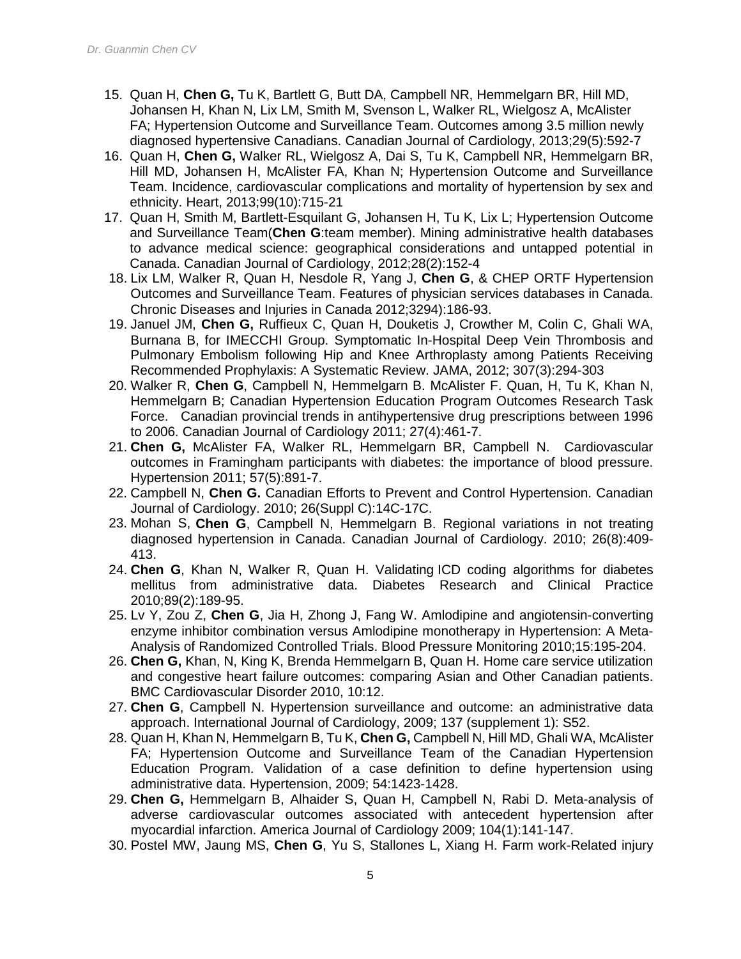- 15. Quan H, **Chen G,** Tu K, Bartlett G, Butt DA, Campbell NR, Hemmelgarn BR, Hill MD, Johansen H, Khan N, Lix LM, Smith M, Svenson L, Walker RL, Wielgosz A, McAlister FA; Hypertension Outcome and Surveillance Team. Outcomes among 3.5 million newly diagnosed hypertensive Canadians. Canadian Journal of Cardiology, 2013;29(5):592-7
- 16. Quan H, **Chen G,** Walker RL, Wielgosz A, Dai S, Tu K, Campbell NR, Hemmelgarn BR, Hill MD, Johansen H, McAlister FA, Khan N; Hypertension Outcome and Surveillance Team. Incidence, cardiovascular complications and mortality of hypertension by sex and ethnicity. Heart, 2013;99(10):715-21
- 17. Quan H, Smith M, Bartlett-Esquilant G, Johansen H, Tu K, Lix L; Hypertension Outcome and Surveillance Team(**Chen G**:team member). Mining administrative health databases to advance medical science: geographical considerations and untapped potential in Canada. Canadian Journal of Cardiology, 2012;28(2):152-4
- 18. Lix LM, Walker R, Quan H, Nesdole R, Yang J, **Chen G**, & CHEP ORTF Hypertension Outcomes and Surveillance Team. Features of physician services databases in Canada. Chronic Diseases and Injuries in Canada 2012;3294):186-93.
- 19. Januel JM, **Chen G,** Ruffieux C, Quan H, Douketis J, Crowther M, Colin C, Ghali WA, Burnana B, for IMECCHI Group. Symptomatic In-Hospital Deep Vein Thrombosis and Pulmonary Embolism following Hip and Knee Arthroplasty among Patients Receiving Recommended Prophylaxis: A Systematic Review. JAMA, 2012; 307(3):294-303
- 20. Walker R, **Chen G**, Campbell N, Hemmelgarn B. McAlister F. Quan, H, Tu K, Khan N, Hemmelgarn B; Canadian Hypertension Education Program Outcomes Research Task Force. Canadian provincial trends in antihypertensive drug prescriptions between 1996 to 2006. Canadian Journal of Cardiology 2011; 27(4):461-7.
- 21. **Chen G,** McAlister FA, Walker RL, Hemmelgarn BR, Campbell N. Cardiovascular outcomes in Framingham participants with diabetes: the importance of blood pressure. Hypertension 2011; 57(5):891-7.
- 22. Campbell N, **Chen G.** Canadian Efforts to Prevent and Control Hypertension. Canadian Journal of Cardiology. 2010; 26(Suppl C):14C-17C.
- 23. Mohan S, **Chen G**, Campbell N, Hemmelgarn B. Regional variations in not treating diagnosed hypertension in Canada. Canadian Journal of Cardiology. 2010; 26(8):409- 413.
- 24. **Chen G**, Khan N, Walker R, Quan H. Validating ICD coding algorithms for diabetes mellitus from administrative data. Diabetes Research and Clinical Practice 2010;89(2):189-95.
- 25. Lv Y, Zou Z, **Chen G**, Jia H, Zhong J, Fang W. Amlodipine and angiotensin-converting enzyme inhibitor combination versus Amlodipine monotherapy in Hypertension: A Meta-Analysis of Randomized Controlled Trials. Blood Pressure Monitoring 2010;15:195-204.
- 26. **Chen G,** Khan, N, King K, Brenda Hemmelgarn B, Quan H. Home care service utilization and congestive heart failure outcomes: comparing Asian and Other Canadian patients. BMC Cardiovascular Disorder 2010, 10:12.
- 27. **Chen G**, Campbell N. Hypertension surveillance and outcome: an administrative data approach. International Journal of Cardiology, 2009; 137 (supplement 1): S52.
- 28. Quan H, Khan N, Hemmelgarn B, Tu K, **Chen G,** Campbell N, Hill MD, Ghali WA, McAlister FA; Hypertension Outcome and Surveillance Team of the Canadian Hypertension Education Program. Validation of a case definition to define hypertension using administrative data. Hypertension, 2009; 54:1423-1428.
- 29. **Chen G,** Hemmelgarn B, Alhaider S, Quan H, Campbell N, Rabi D. Meta-analysis of adverse cardiovascular outcomes associated with antecedent hypertension after myocardial infarction. America Journal of Cardiology 2009; 104(1):141-147.
- 30. Postel MW, Jaung MS, **Chen G**, Yu S, Stallones L, Xiang H. Farm work-Related injury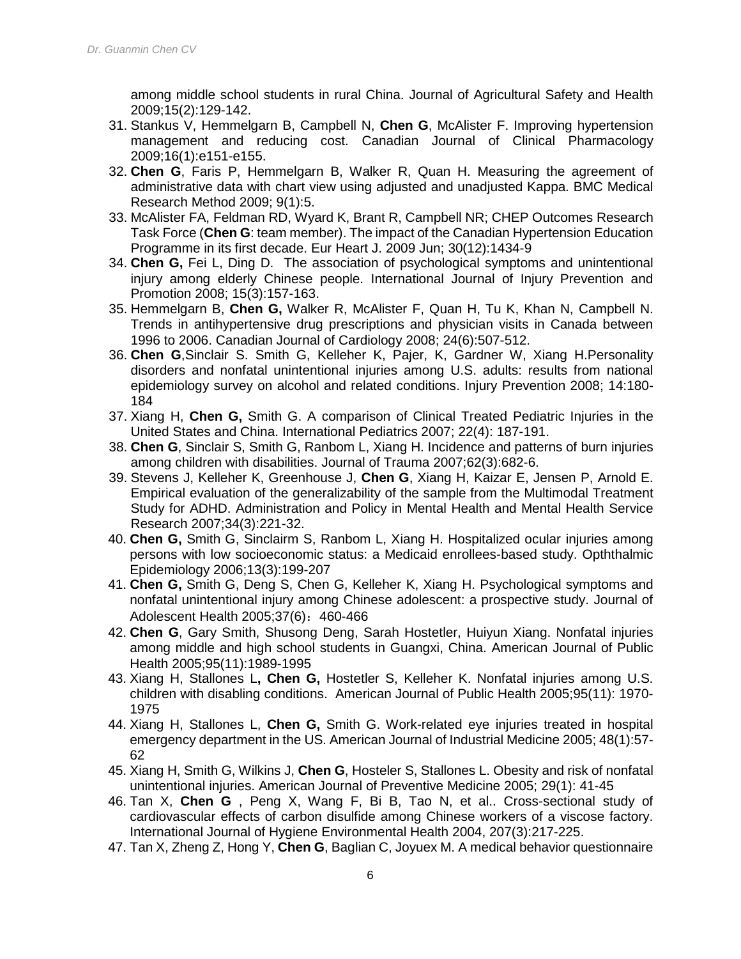among middle school students in rural China. Journal of Agricultural Safety and Health 2009;15(2):129-142.

- 31. Stankus V, Hemmelgarn B, Campbell N, **Chen G**, McAlister F. Improving hypertension management and reducing cost. Canadian Journal of Clinical Pharmacology 2009;16(1):e151-e155.
- 32. **Chen G**, Faris P, Hemmelgarn B, Walker R, Quan H. Measuring the agreement of administrative data with chart view using adjusted and unadjusted Kappa. BMC Medical Research Method 2009; 9(1):5.
- 33. McAlister FA, Feldman RD, Wyard K, Brant R, Campbell NR; CHEP Outcomes Research Task Force (**Chen G**: team member). The impact of the Canadian Hypertension Education Programme in its first decade. Eur Heart J. 2009 Jun; 30(12):1434-9
- 34. **Chen G,** Fei L, Ding D. The association of psychological symptoms and unintentional injury among elderly Chinese people. International Journal of Injury Prevention and Promotion 2008; 15(3):157-163.
- 35. Hemmelgarn B, **Chen G,** Walker R, McAlister F, Quan H, Tu K, Khan N, Campbell N. Trends in antihypertensive drug prescriptions and physician visits in Canada between 1996 to 2006. Canadian Journal of Cardiology 2008; 24(6):507-512.
- 36. **Chen G**,Sinclair S. Smith G, Kelleher K, Pajer, K, Gardner W, Xiang H.Personality disorders and nonfatal unintentional injuries among U.S. adults: results from national epidemiology survey on alcohol and related conditions. Injury Prevention 2008; 14:180- 184
- 37. Xiang H, **Chen G,** Smith G. A comparison of Clinical Treated Pediatric Injuries in the United States and China. International Pediatrics 2007; 22(4): 187-191.
- 38. **Chen G**, Sinclair S, Smith G, Ranbom L, Xiang H. Incidence and patterns of burn injuries among children with disabilities. Journal of Trauma 2007;62(3):682-6.
- 39. Stevens J, Kelleher K, Greenhouse J, **Chen G**, Xiang H, Kaizar E, Jensen P, Arnold E. Empirical evaluation of the generalizability of the sample from the Multimodal Treatment Study for ADHD. Administration and Policy in Mental Health and Mental Health Service Research 2007;34(3):221-32.
- 40. **Chen G,** Smith G, Sinclairm S, Ranbom L, Xiang H. Hospitalized ocular injuries among persons with low socioeconomic status: a Medicaid enrollees-based study. Opththalmic Epidemiology 2006;13(3):199-207
- 41. **Chen G,** Smith G, Deng S, Chen G, Kelleher K, Xiang H. Psychological symptoms and nonfatal unintentional injury among Chinese adolescent: a prospective study. Journal of Adolescent Health 2005:37(6): 460-466
- 42. **Chen G**, Gary Smith, Shusong Deng, Sarah Hostetler, Huiyun Xiang. Nonfatal injuries among middle and high school students in Guangxi, China. American Journal of Public Health 2005;95(11):1989-1995
- 43. Xiang H, Stallones L**, Chen G,** Hostetler S, Kelleher K. Nonfatal injuries among U.S. children with disabling conditions. American Journal of Public Health 2005;95(11): 1970- 1975
- 44. Xiang H, Stallones L, **Chen G,** Smith G. Work-related eye injuries treated in hospital emergency department in the US. American Journal of Industrial Medicine 2005; 48(1):57- 62
- 45. Xiang H, Smith G, Wilkins J, **Chen G**, Hosteler S, Stallones L. Obesity and risk of nonfatal unintentional injuries. American Journal of Preventive Medicine 2005; 29(1): 41-45
- 46. Tan X, **Chen G** , Peng X, Wang F, Bi B, Tao N, et al.. Cross-sectional study of cardiovascular effects of carbon disulfide among Chinese workers of a viscose factory. International Journal of Hygiene Environmental Health 2004, 207(3):217-225.
- 47. Tan X, Zheng Z, Hong Y, **Chen G**, Baglian C, Joyuex M. A medical behavior questionnaire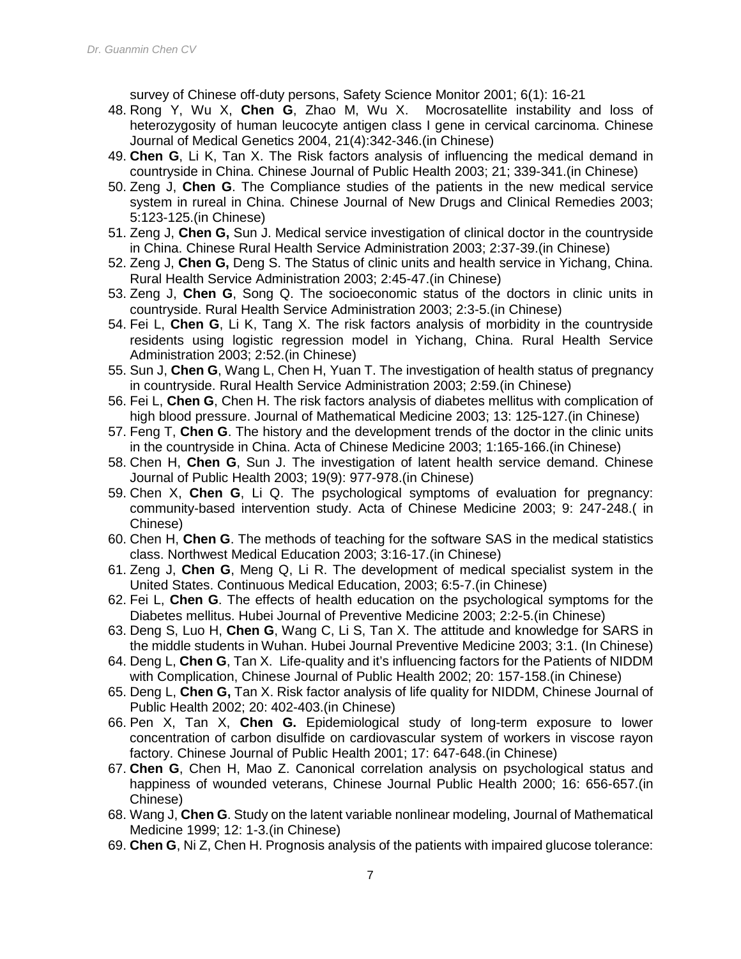survey of Chinese off-duty persons, Safety Science Monitor 2001; 6(1): 16-21

- 48. Rong Y, Wu X, **Chen G**, Zhao M, Wu X. Mocrosatellite instability and loss of heterozygosity of human leucocyte antigen class I gene in cervical carcinoma. Chinese Journal of Medical Genetics 2004, 21(4):342-346.(in Chinese)
- 49. **Chen G**, Li K, Tan X. The Risk factors analysis of influencing the medical demand in countryside in China. Chinese Journal of Public Health 2003; 21; 339-341.(in Chinese)
- 50. Zeng J, **Chen G**. The Compliance studies of the patients in the new medical service system in rureal in China. Chinese Journal of New Drugs and Clinical Remedies 2003; 5:123-125.(in Chinese)
- 51. Zeng J, **Chen G,** Sun J. Medical service investigation of clinical doctor in the countryside in China. Chinese Rural Health Service Administration 2003; 2:37-39.(in Chinese)
- 52. Zeng J, **Chen G,** Deng S. The Status of clinic units and health service in Yichang, China. Rural Health Service Administration 2003; 2:45-47.(in Chinese)
- 53. Zeng J, **Chen G**, Song Q. The socioeconomic status of the doctors in clinic units in countryside. Rural Health Service Administration 2003; 2:3-5.(in Chinese)
- 54. Fei L, **Chen G**, Li K, Tang X. The risk factors analysis of morbidity in the countryside residents using logistic regression model in Yichang, China. Rural Health Service Administration 2003; 2:52.(in Chinese)
- 55. Sun J, **Chen G**, Wang L, Chen H, Yuan T. The investigation of health status of pregnancy in countryside. Rural Health Service Administration 2003; 2:59.(in Chinese)
- 56. Fei L, **Chen G**, Chen H. The risk factors analysis of diabetes mellitus with complication of high blood pressure. Journal of Mathematical Medicine 2003; 13: 125-127.(in Chinese)
- 57. Feng T, **Chen G**. The history and the development trends of the doctor in the clinic units in the countryside in China. Acta of Chinese Medicine 2003; 1:165-166.(in Chinese)
- 58. Chen H, **Chen G**, Sun J. The investigation of latent health service demand. Chinese Journal of Public Health 2003; 19(9): 977-978.(in Chinese)
- 59. Chen X, **Chen G**, Li Q. The psychological symptoms of evaluation for pregnancy: community-based intervention study. Acta of Chinese Medicine 2003; 9: 247-248.( in Chinese)
- 60. Chen H, **Chen G**. The methods of teaching for the software SAS in the medical statistics class. Northwest Medical Education 2003; 3:16-17.(in Chinese)
- 61. Zeng J, **Chen G**, Meng Q, Li R. The development of medical specialist system in the United States. Continuous Medical Education, 2003; 6:5-7.(in Chinese)
- 62. Fei L, **Chen G**. The effects of health education on the psychological symptoms for the Diabetes mellitus. Hubei Journal of Preventive Medicine 2003; 2:2-5.(in Chinese)
- 63. Deng S, Luo H, **Chen G**, Wang C, Li S, Tan X. The attitude and knowledge for SARS in the middle students in Wuhan. Hubei Journal Preventive Medicine 2003; 3:1. (In Chinese)
- 64. Deng L, **Chen G**, Tan X. Life-quality and it's influencing factors for the Patients of NIDDM with Complication, Chinese Journal of Public Health 2002; 20: 157-158.(in Chinese)
- 65. Deng L, **Chen G,** Tan X. Risk factor analysis of life quality for NIDDM, Chinese Journal of Public Health 2002; 20: 402-403.(in Chinese)
- 66. Pen X, Tan X, **Chen G.** Epidemiological study of long-term exposure to lower concentration of carbon disulfide on cardiovascular system of workers in viscose rayon factory. Chinese Journal of Public Health 2001; 17: 647-648.(in Chinese)
- 67. **Chen G**, Chen H, Mao Z. Canonical correlation analysis on psychological status and happiness of wounded veterans, Chinese Journal Public Health 2000; 16: 656-657.(in Chinese)
- 68. Wang J, **Chen G**. Study on the latent variable nonlinear modeling, Journal of Mathematical Medicine 1999; 12: 1-3.(in Chinese)
- 69. **Chen G**, Ni Z, Chen H. Prognosis analysis of the patients with impaired glucose tolerance: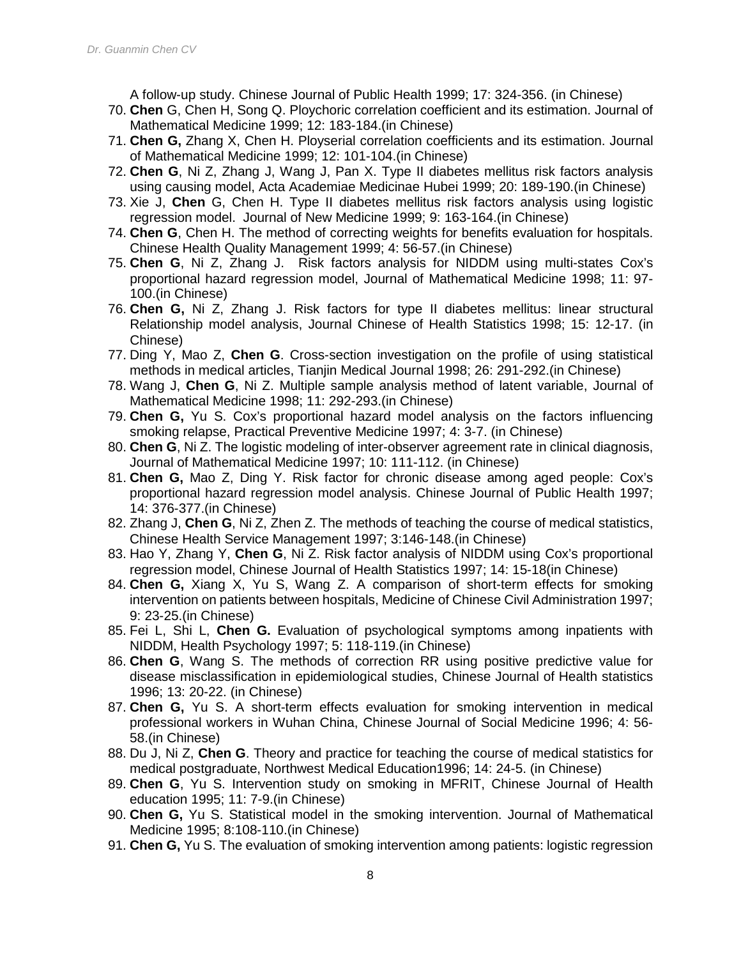A follow-up study. Chinese Journal of Public Health 1999; 17: 324-356. (in Chinese)

- 70. **Chen** G, Chen H, Song Q. Ploychoric correlation coefficient and its estimation. Journal of Mathematical Medicine 1999; 12: 183-184.(in Chinese)
- 71. **Chen G,** Zhang X, Chen H. Ployserial correlation coefficients and its estimation. Journal of Mathematical Medicine 1999; 12: 101-104.(in Chinese)
- 72. **Chen G**, Ni Z, Zhang J, Wang J, Pan X. Type II diabetes mellitus risk factors analysis using causing model, Acta Academiae Medicinae Hubei 1999; 20: 189-190.(in Chinese)
- 73. Xie J, **Chen** G, Chen H. Type II diabetes mellitus risk factors analysis using logistic regression model. Journal of New Medicine 1999; 9: 163-164.(in Chinese)
- 74. **Chen G**, Chen H. The method of correcting weights for benefits evaluation for hospitals. Chinese Health Quality Management 1999; 4: 56-57.(in Chinese)
- 75. **Chen G**, Ni Z, Zhang J. Risk factors analysis for NIDDM using multi-states Cox's proportional hazard regression model, Journal of Mathematical Medicine 1998; 11: 97- 100.(in Chinese)
- 76. **Chen G,** Ni Z, Zhang J. Risk factors for type II diabetes mellitus: linear structural Relationship model analysis, Journal Chinese of Health Statistics 1998; 15: 12-17. (in Chinese)
- 77. Ding Y, Mao Z, **Chen G**. Cross-section investigation on the profile of using statistical methods in medical articles, Tianjin Medical Journal 1998; 26: 291-292.(in Chinese)
- 78. Wang J, **Chen G**, Ni Z. Multiple sample analysis method of latent variable, Journal of Mathematical Medicine 1998; 11: 292-293.(in Chinese)
- 79. **Chen G,** Yu S. Cox's proportional hazard model analysis on the factors influencing smoking relapse, Practical Preventive Medicine 1997; 4: 3-7. (in Chinese)
- 80. **Chen G**, Ni Z. The logistic modeling of inter-observer agreement rate in clinical diagnosis, Journal of Mathematical Medicine 1997; 10: 111-112. (in Chinese)
- 81. **Chen G,** Mao Z, Ding Y. Risk factor for chronic disease among aged people: Cox's proportional hazard regression model analysis. Chinese Journal of Public Health 1997; 14: 376-377.(in Chinese)
- 82. Zhang J, **Chen G**, Ni Z, Zhen Z. The methods of teaching the course of medical statistics, Chinese Health Service Management 1997; 3:146-148.(in Chinese)
- 83. Hao Y, Zhang Y, **Chen G**, Ni Z. Risk factor analysis of NIDDM using Cox's proportional regression model, Chinese Journal of Health Statistics 1997; 14: 15-18(in Chinese)
- 84. **Chen G,** Xiang X, Yu S, Wang Z. A comparison of short-term effects for smoking intervention on patients between hospitals, Medicine of Chinese Civil Administration 1997; 9: 23-25.(in Chinese)
- 85. Fei L, Shi L, **Chen G.** Evaluation of psychological symptoms among inpatients with NIDDM, Health Psychology 1997; 5: 118-119.(in Chinese)
- 86. **Chen G**, Wang S. The methods of correction RR using positive predictive value for disease misclassification in epidemiological studies, Chinese Journal of Health statistics 1996; 13: 20-22. (in Chinese)
- 87. **Chen G,** Yu S. A short-term effects evaluation for smoking intervention in medical professional workers in Wuhan China, Chinese Journal of Social Medicine 1996; 4: 56- 58.(in Chinese)
- 88. Du J, Ni Z, **Chen G**. Theory and practice for teaching the course of medical statistics for medical postgraduate, Northwest Medical Education1996; 14: 24-5. (in Chinese)
- 89. **Chen G**, Yu S. Intervention study on smoking in MFRIT, Chinese Journal of Health education 1995; 11: 7-9.(in Chinese)
- 90. **Chen G,** Yu S. Statistical model in the smoking intervention. Journal of Mathematical Medicine 1995; 8:108-110.(in Chinese)
- 91. **Chen G,** Yu S. The evaluation of smoking intervention among patients: logistic regression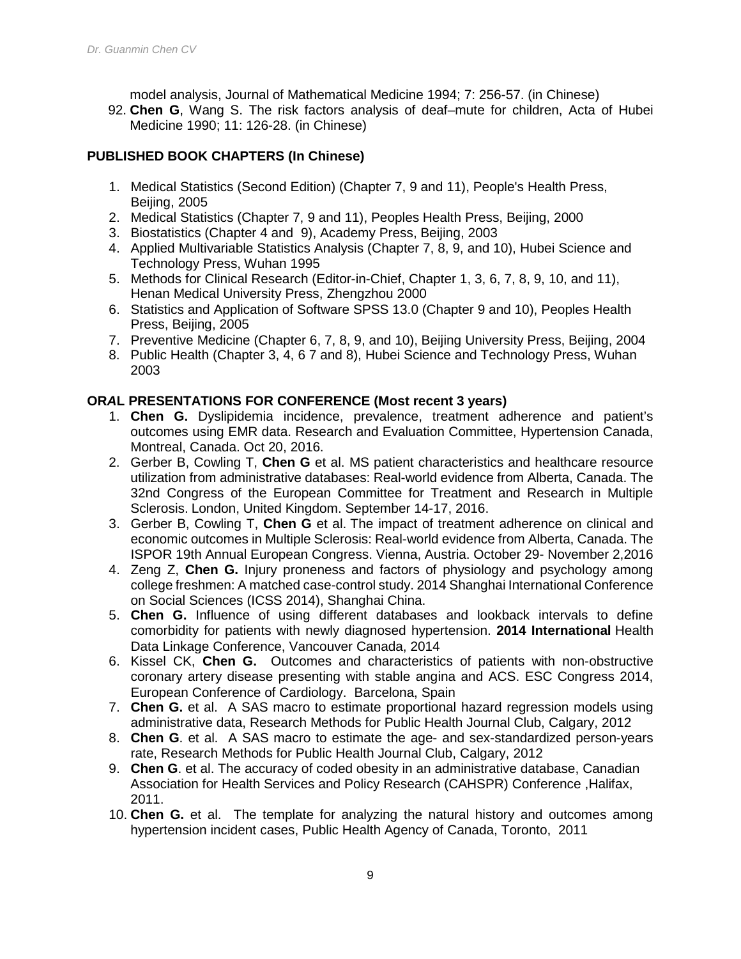model analysis, Journal of Mathematical Medicine 1994; 7: 256-57. (in Chinese)

92. **Chen G**, Wang S. The risk factors analysis of deaf–mute for children, Acta of Hubei Medicine 1990; 11: 126-28. (in Chinese)

# **PUBLISHED BOOK CHAPTERS (In Chinese)**

- 1. Medical Statistics (Second Edition) (Chapter 7, 9 and 11), People's Health Press, Beijing, 2005
- 2. Medical Statistics (Chapter 7, 9 and 11), Peoples Health Press, Beijing, 2000
- 3. Biostatistics (Chapter 4 and 9), Academy Press, Beijing, 2003
- 4. Applied Multivariable Statistics Analysis (Chapter 7, 8, 9, and 10), Hubei Science and Technology Press, Wuhan 1995
- 5. Methods for Clinical Research (Editor-in-Chief, Chapter 1, 3, 6, 7, 8, 9, 10, and 11), Henan Medical University Press, Zhengzhou 2000
- 6. Statistics and Application of Software SPSS 13.0 (Chapter 9 and 10), Peoples Health Press, Beijing, 2005
- 7. Preventive Medicine (Chapter 6, 7, 8, 9, and 10), Beijing University Press, Beijing, 2004
- 8. Public Health (Chapter 3, 4, 6 7 and 8), Hubei Science and Technology Press, Wuhan 2003

## **OR***A***L PRESENTATIONS FOR CONFERENCE (Most recent 3 years)**

- 1. **Chen G.** Dyslipidemia incidence, prevalence, treatment adherence and patient's outcomes using EMR data. Research and Evaluation Committee, Hypertension Canada, Montreal, Canada. Oct 20, 2016.
- 2. Gerber B, Cowling T, **Chen G** et al. MS patient characteristics and healthcare resource utilization from administrative databases: Real-world evidence from Alberta, Canada. The 32nd Congress of the European Committee for Treatment and Research in Multiple Sclerosis. London, United Kingdom. September 14-17, 2016.
- 3. Gerber B, Cowling T, **Chen G** et al. The impact of treatment adherence on clinical and economic outcomes in Multiple Sclerosis: Real-world evidence from Alberta, Canada. The ISPOR 19th Annual European Congress. Vienna, Austria. October 29- November 2,2016
- 4. Zeng Z, **Chen G.** Injury proneness and factors of physiology and psychology among college freshmen: A matched case-control study. 2014 Shanghai International Conference on Social Sciences (ICSS 2014), Shanghai China.
- 5. **Chen G.** Influence of using different databases and lookback intervals to define comorbidity for patients with newly diagnosed hypertension. **2014 International** Health Data Linkage Conference, Vancouver Canada, 2014
- 6. Kissel CK, **Chen G.** Outcomes and characteristics of patients with non-obstructive coronary artery disease presenting with stable angina and ACS. ESC Congress 2014, European Conference of Cardiology. Barcelona, Spain
- 7. **Chen G.** et al. A SAS macro to estimate proportional hazard regression models using administrative data, Research Methods for Public Health Journal Club, Calgary, 2012
- 8. **Chen G**. et al. A SAS macro to estimate the age- and sex-standardized person-years rate, Research Methods for Public Health Journal Club, Calgary, 2012
- 9. **Chen G**. et al. The accuracy of coded obesity in an administrative database, Canadian Association for Health Services and Policy Research (CAHSPR) Conference ,Halifax, 2011.
- 10. **Chen G.** et al. The template for analyzing the natural history and outcomes among hypertension incident cases, Public Health Agency of Canada, Toronto, 2011